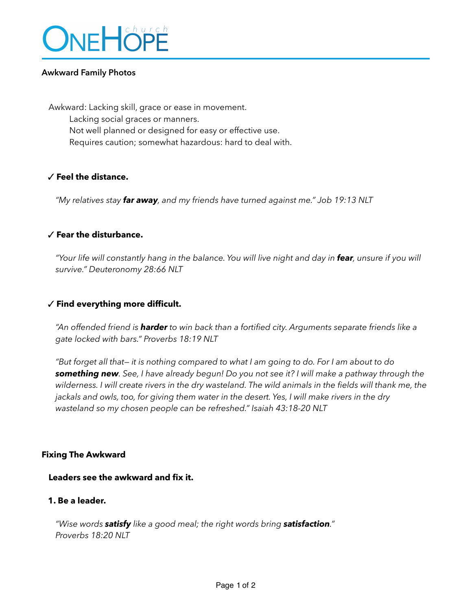

### **Awkward Family Photos**

Awkward: Lacking skill, grace or ease in movement. Lacking social graces or manners. Not well planned or designed for easy or effective use. Requires caution; somewhat hazardous: hard to deal with.

### ✓ **Feel the distance.**

*"My relatives stay far away, and my friends have turned against me." Job 19:13 NLT* 

## ✓ **Fear the disturbance.**

*"Your life will constantly hang in the balance. You will live night and day in fear, unsure if you will survive." Deuteronomy 28:66 NLT* 

### ✓ **Find everything more difficult.**

*"An offended friend is harder to win back than a fortified city. Arguments separate friends like a gate locked with bars." Proverbs 18:19 NLT* 

*"But forget all that— it is nothing compared to what I am going to do. For I am about to do something new. See, I have already begun! Do you not see it? I will make a pathway through the wilderness. I will create rivers in the dry wasteland. The wild animals in the fields will thank me, the jackals and owls, too, for giving them water in the desert. Yes, I will make rivers in the dry wasteland so my chosen people can be refreshed." Isaiah 43:18-20 NLT* 

#### **Fixing The Awkward**

**Leaders see the awkward and fix it.** 

# **1. Be a leader.**

*"Wise words satisfy like a good meal; the right words bring satisfaction." Proverbs 18:20 NLT*